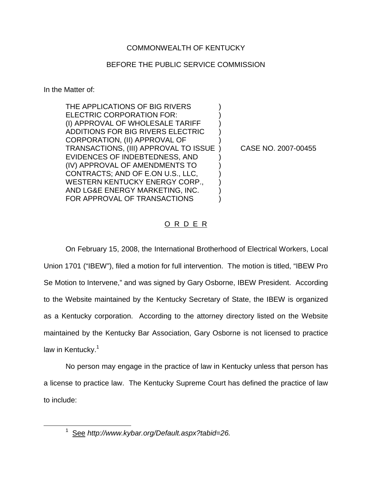## COMMONWEALTH OF KENTUCKY

## BEFORE THE PUBLIC SERVICE COMMISSION

In the Matter of:

THE APPLICATIONS OF BIG RIVERS ELECTRIC CORPORATION FOR: (I) APPROVAL OF WHOLESALE TARIFF ) ADDITIONS FOR BIG RIVERS ELECTRIC ) CORPORATION, (II) APPROVAL OF ) TRANSACTIONS, (III) APPROVAL TO ISSUE ) CASE NO. 2007-00455 EVIDENCES OF INDEBTEDNESS, AND ) (IV) APPROVAL OF AMENDMENTS TO ) CONTRACTS; AND OF E.ON U.S., LLC, ) WESTERN KENTUCKY ENERGY CORP., AND LG&E ENERGY MARKETING, INC. ) FOR APPROVAL OF TRANSACTIONS

## O R D E R

On February 15, 2008, the International Brotherhood of Electrical Workers, Local Union 1701 ("IBEW"), filed a motion for full intervention. The motion is titled, "IBEW Pro Se Motion to Intervene," and was signed by Gary Osborne, IBEW President. According to the Website maintained by the Kentucky Secretary of State, the IBEW is organized as a Kentucky corporation. According to the attorney directory listed on the Website maintained by the Kentucky Bar Association, Gary Osborne is not licensed to practice law in Kentucky.<sup>1</sup>

No person may engage in the practice of law in Kentucky unless that person has a license to practice law. The Kentucky Supreme Court has defined the practice of law to include:

<sup>1</sup> See *http://www.kybar.org/Default.aspx?tabid=26.*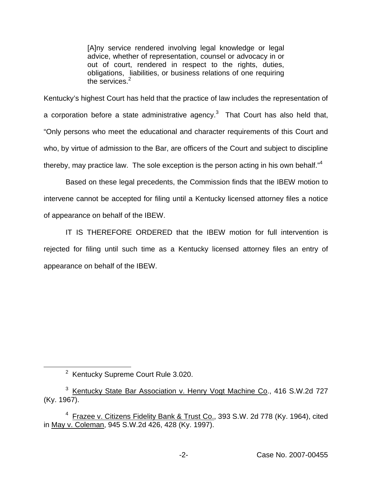[A]ny service rendered involving legal knowledge or legal advice, whether of representation, counsel or advocacy in or out of court, rendered in respect to the rights, duties, obligations, liabilities, or business relations of one requiring the services.<sup>2</sup>

Kentucky's highest Court has held that the practice of law includes the representation of a corporation before a state administrative agency.<sup>3</sup> That Court has also held that, "Only persons who meet the educational and character requirements of this Court and who, by virtue of admission to the Bar, are officers of the Court and subject to discipline thereby, may practice law. The sole exception is the person acting in his own behalf."<sup>4</sup>

Based on these legal precedents, the Commission finds that the IBEW motion to intervene cannot be accepted for filing until a Kentucky licensed attorney files a notice of appearance on behalf of the IBEW.

IT IS THEREFORE ORDERED that the IBEW motion for full intervention is rejected for filing until such time as a Kentucky licensed attorney files an entry of appearance on behalf of the IBEW.

<sup>2</sup> Kentucky Supreme Court Rule 3.020.

<sup>&</sup>lt;sup>3</sup> Kentucky State Bar Association v. Henry Vogt Machine Co., 416 S.W.2d 727 (Ky. 1967).

<sup>4</sup> Frazee v. Citizens Fidelity Bank & Trust Co., 393 S.W. 2d 778 (Ky. 1964), cited in May v. Coleman, 945 S.W.2d 426, 428 (Ky. 1997).